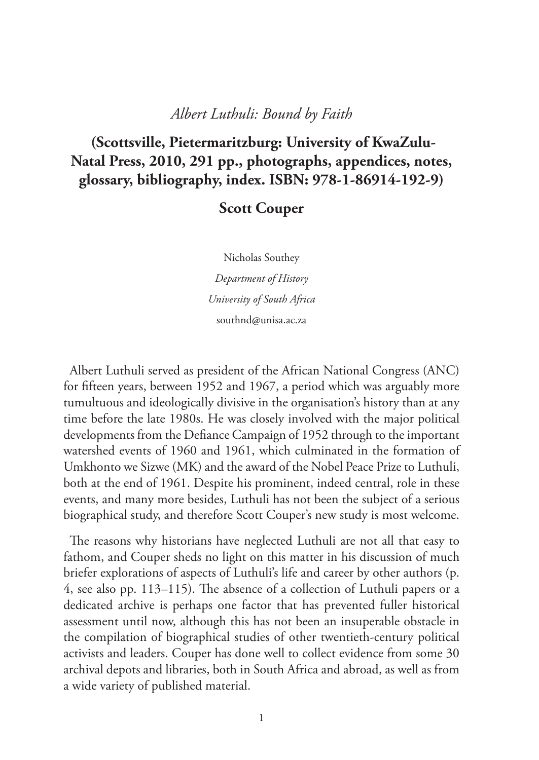#### *Albert Luthuli: Bound by Faith*

# **(Scottsville, Pietermaritzburg: University of KwaZulu-Natal Press, 2010, 291 pp., photographs, appendices, notes, glossary, bibliography, index. ISBN: 978-1-86914-192-9)**

### **Scott Couper**

Nicholas Southey *Department of History University of South Africa* southnd@unisa.ac.za

Albert Luthuli served as president of the African National Congress (ANC) for fifteen years, between 1952 and 1967, a period which was arguably more tumultuous and ideologically divisive in the organisation's history than at any time before the late 1980s. He was closely involved with the major political developments from the Defiance Campaign of 1952 through to the important watershed events of 1960 and 1961, which culminated in the formation of Umkhonto we Sizwe (MK) and the award of the Nobel Peace Prize to Luthuli, both at the end of 1961. Despite his prominent, indeed central, role in these events, and many more besides, Luthuli has not been the subject of a serious biographical study, and therefore Scott Couper's new study is most welcome.

The reasons why historians have neglected Luthuli are not all that easy to fathom, and Couper sheds no light on this matter in his discussion of much briefer explorations of aspects of Luthuli's life and career by other authors (p. 4, see also pp. 113–115). The absence of a collection of Luthuli papers or a dedicated archive is perhaps one factor that has prevented fuller historical assessment until now, although this has not been an insuperable obstacle in the compilation of biographical studies of other twentieth-century political activists and leaders. Couper has done well to collect evidence from some 30 archival depots and libraries, both in South Africa and abroad, as well as from a wide variety of published material.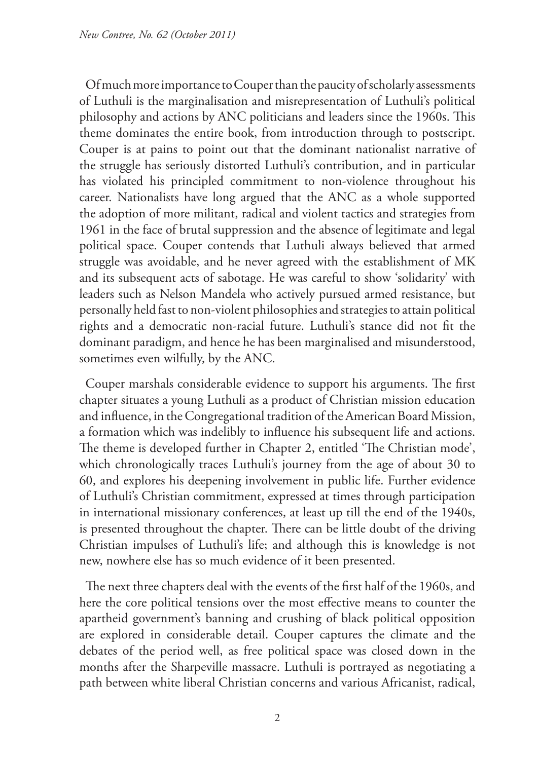Of much more importance to Couper than the paucity of scholarly assessments of Luthuli is the marginalisation and misrepresentation of Luthuli's political philosophy and actions by ANC politicians and leaders since the 1960s. This theme dominates the entire book, from introduction through to postscript. Couper is at pains to point out that the dominant nationalist narrative of the struggle has seriously distorted Luthuli's contribution, and in particular has violated his principled commitment to non-violence throughout his career. Nationalists have long argued that the ANC as a whole supported the adoption of more militant, radical and violent tactics and strategies from 1961 in the face of brutal suppression and the absence of legitimate and legal political space. Couper contends that Luthuli always believed that armed struggle was avoidable, and he never agreed with the establishment of MK and its subsequent acts of sabotage. He was careful to show 'solidarity' with leaders such as Nelson Mandela who actively pursued armed resistance, but personally held fast to non-violent philosophies and strategies to attain political rights and a democratic non-racial future. Luthuli's stance did not fit the dominant paradigm, and hence he has been marginalised and misunderstood, sometimes even wilfully, by the ANC.

Couper marshals considerable evidence to support his arguments. The first chapter situates a young Luthuli as a product of Christian mission education and influence, in the Congregational tradition of the American Board Mission, a formation which was indelibly to influence his subsequent life and actions. The theme is developed further in Chapter 2, entitled 'The Christian mode', which chronologically traces Luthuli's journey from the age of about 30 to 60, and explores his deepening involvement in public life. Further evidence of Luthuli's Christian commitment, expressed at times through participation in international missionary conferences, at least up till the end of the 1940s, is presented throughout the chapter. There can be little doubt of the driving Christian impulses of Luthuli's life; and although this is knowledge is not new, nowhere else has so much evidence of it been presented.

The next three chapters deal with the events of the first half of the 1960s, and here the core political tensions over the most effective means to counter the apartheid government's banning and crushing of black political opposition are explored in considerable detail. Couper captures the climate and the debates of the period well, as free political space was closed down in the months after the Sharpeville massacre. Luthuli is portrayed as negotiating a path between white liberal Christian concerns and various Africanist, radical,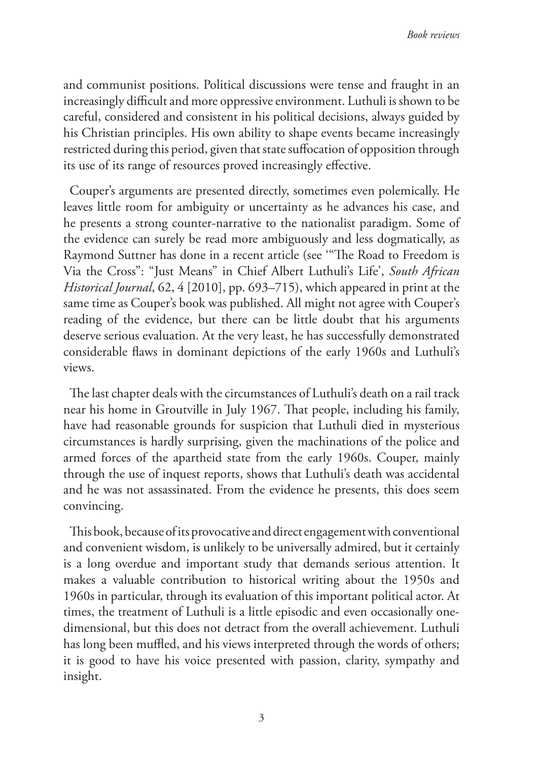and communist positions. Political discussions were tense and fraught in an increasingly difficult and more oppressive environment. Luthuli is shown to be careful, considered and consistent in his political decisions, always guided by his Christian principles. His own ability to shape events became increasingly restricted during this period, given that state suffocation of opposition through its use of its range of resources proved increasingly effective.

Couper's arguments are presented directly, sometimes even polemically. He leaves little room for ambiguity or uncertainty as he advances his case, and he presents a strong counter-narrative to the nationalist paradigm. Some of the evidence can surely be read more ambiguously and less dogmatically, as Raymond Suttner has done in a recent article (see '"The Road to Freedom is Via the Cross": "Just Means" in Chief Albert Luthuli's Life', *South African Historical Journal*, 62, 4 [2010], pp. 693–715), which appeared in print at the same time as Couper's book was published. All might not agree with Couper's reading of the evidence, but there can be little doubt that his arguments deserve serious evaluation. At the very least, he has successfully demonstrated considerable flaws in dominant depictions of the early 1960s and Luthuli's views.

The last chapter deals with the circumstances of Luthuli's death on a rail track near his home in Groutville in July 1967. That people, including his family, have had reasonable grounds for suspicion that Luthuli died in mysterious circumstances is hardly surprising, given the machinations of the police and armed forces of the apartheid state from the early 1960s. Couper, mainly through the use of inquest reports, shows that Luthuli's death was accidental and he was not assassinated. From the evidence he presents, this does seem convincing.

This book, because of its provocative and direct engagement with conventional and convenient wisdom, is unlikely to be universally admired, but it certainly is a long overdue and important study that demands serious attention. It makes a valuable contribution to historical writing about the 1950s and 1960s in particular, through its evaluation of this important political actor. At times, the treatment of Luthuli is a little episodic and even occasionally onedimensional, but this does not detract from the overall achievement. Luthuli has long been muffled, and his views interpreted through the words of others; it is good to have his voice presented with passion, clarity, sympathy and insight.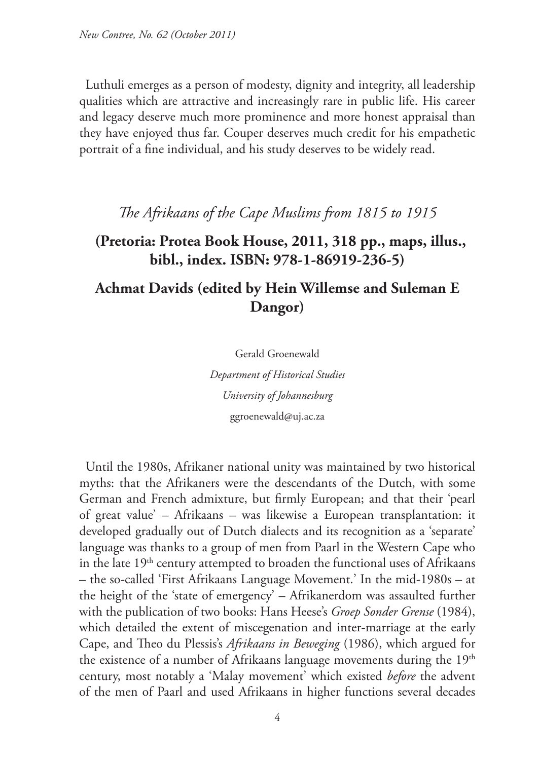Luthuli emerges as a person of modesty, dignity and integrity, all leadership qualities which are attractive and increasingly rare in public life. His career and legacy deserve much more prominence and more honest appraisal than they have enjoyed thus far. Couper deserves much credit for his empathetic portrait of a fine individual, and his study deserves to be widely read.

### *The Afrikaans of the Cape Muslims from 1815 to 1915*

### **(Pretoria: Protea Book House, 2011, 318 pp., maps, illus., bibl., index. ISBN: 978-1-86919-236-5)**

# **Achmat Davids (edited by Hein Willemse and Suleman E Dangor)**

Gerald Groenewald

*Department of Historical Studies University of Johannesburg* ggroenewald@uj.ac.za

Until the 1980s, Afrikaner national unity was maintained by two historical myths: that the Afrikaners were the descendants of the Dutch, with some German and French admixture, but firmly European; and that their 'pearl of great value' – Afrikaans – was likewise a European transplantation: it developed gradually out of Dutch dialects and its recognition as a 'separate' language was thanks to a group of men from Paarl in the Western Cape who in the late  $19<sup>th</sup>$  century attempted to broaden the functional uses of Afrikaans – the so-called 'First Afrikaans Language Movement.' In the mid-1980s – at the height of the 'state of emergency' – Afrikanerdom was assaulted further with the publication of two books: Hans Heese's *Groep Sonder Grense* (1984), which detailed the extent of miscegenation and inter-marriage at the early Cape, and Theo du Plessis's *Afrikaans in Beweging* (1986), which argued for the existence of a number of Afrikaans language movements during the 19<sup>th</sup> century, most notably a 'Malay movement' which existed *before* the advent of the men of Paarl and used Afrikaans in higher functions several decades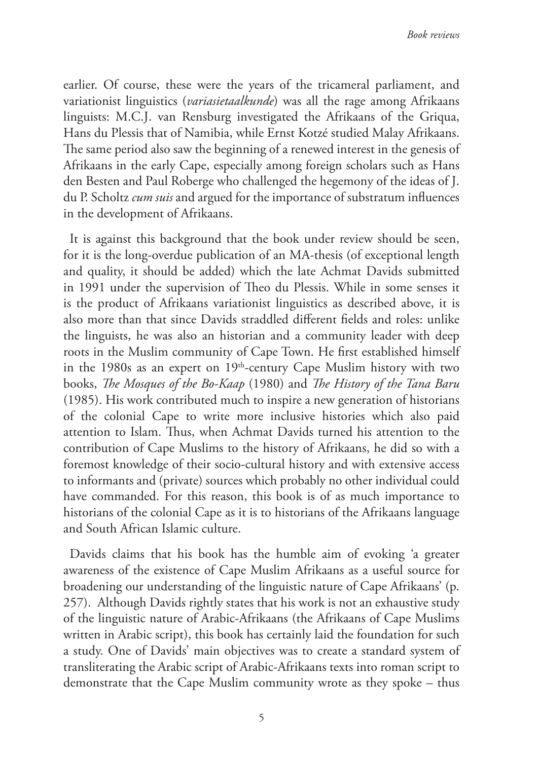earlier. Of course, these were the years of the tricameral parliament, and variationist linguistics (*variasietaalkunde*) was all the rage among Afrikaans linguists: M.C.J. van Rensburg investigated the Afrikaans of the Griqua, Hans du Plessis that of Namibia, while Ernst Kotzé studied Malay Afrikaans. The same period also saw the beginning of a renewed interest in the genesis of Afrikaans in the early Cape, especially among foreign scholars such as Hans den Besten and Paul Roberge who challenged the hegemony of the ideas of J. du P. Scholtz *cum suis* and argued for the importance of substratum influences in the development of Afrikaans.

It is against this background that the book under review should be seen, for it is the long-overdue publication of an MA-thesis (of exceptional length and quality, it should be added) which the late Achmat Davids submitted in 1991 under the supervision of Theo du Plessis. While in some senses it is the product of Afrikaans variationist linguistics as described above, it is also more than that since Davids straddled different fields and roles: unlike the linguists, he was also an historian and a community leader with deep roots in the Muslim community of Cape Town. He first established himself in the 1980s as an expert on  $19<sup>th</sup>$ -century Cape Muslim history with two books, *The Mosques of the Bo-Kaap* (1980) and *The History of the Tana Baru* (1985). His work contributed much to inspire a new generation of historians of the colonial Cape to write more inclusive histories which also paid attention to Islam. Thus, when Achmat Davids turned his attention to the contribution of Cape Muslims to the history of Afrikaans, he did so with a foremost knowledge of their socio-cultural history and with extensive access to informants and (private) sources which probably no other individual could have commanded. For this reason, this book is of as much importance to historians of the colonial Cape as it is to historians of the Afrikaans language and South African Islamic culture.

Davids claims that his book has the humble aim of evoking 'a greater awareness of the existence of Cape Muslim Afrikaans as a useful source for broadening our understanding of the linguistic nature of Cape Afrikaans' (p. 257). Although Davids rightly states that his work is not an exhaustive study of the linguistic nature of Arabic-Afrikaans (the Afrikaans of Cape Muslims written in Arabic script), this book has certainly laid the foundation for such a study. One of Davids' main objectives was to create a standard system of transliterating the Arabic script of Arabic-Afrikaans texts into roman script to demonstrate that the Cape Muslim community wrote as they spoke – thus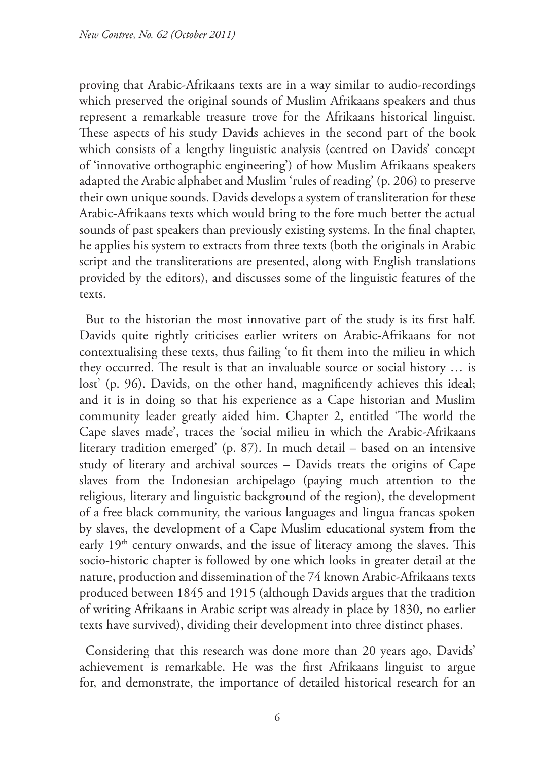proving that Arabic-Afrikaans texts are in a way similar to audio-recordings which preserved the original sounds of Muslim Afrikaans speakers and thus represent a remarkable treasure trove for the Afrikaans historical linguist. These aspects of his study Davids achieves in the second part of the book which consists of a lengthy linguistic analysis (centred on Davids' concept of 'innovative orthographic engineering') of how Muslim Afrikaans speakers adapted the Arabic alphabet and Muslim 'rules of reading' (p. 206) to preserve their own unique sounds. Davids develops a system of transliteration for these Arabic-Afrikaans texts which would bring to the fore much better the actual sounds of past speakers than previously existing systems. In the final chapter, he applies his system to extracts from three texts (both the originals in Arabic script and the transliterations are presented, along with English translations provided by the editors), and discusses some of the linguistic features of the texts.

But to the historian the most innovative part of the study is its first half. Davids quite rightly criticises earlier writers on Arabic-Afrikaans for not contextualising these texts, thus failing 'to fit them into the milieu in which they occurred. The result is that an invaluable source or social history … is lost' (p. 96). Davids, on the other hand, magnificently achieves this ideal; and it is in doing so that his experience as a Cape historian and Muslim community leader greatly aided him. Chapter 2, entitled 'The world the Cape slaves made', traces the 'social milieu in which the Arabic-Afrikaans literary tradition emerged' (p. 87). In much detail – based on an intensive study of literary and archival sources – Davids treats the origins of Cape slaves from the Indonesian archipelago (paying much attention to the religious, literary and linguistic background of the region), the development of a free black community, the various languages and lingua francas spoken by slaves, the development of a Cape Muslim educational system from the early 19<sup>th</sup> century onwards, and the issue of literacy among the slaves. This socio-historic chapter is followed by one which looks in greater detail at the nature, production and dissemination of the 74 known Arabic-Afrikaans texts produced between 1845 and 1915 (although Davids argues that the tradition of writing Afrikaans in Arabic script was already in place by 1830, no earlier texts have survived), dividing their development into three distinct phases.

Considering that this research was done more than 20 years ago, Davids' achievement is remarkable. He was the first Afrikaans linguist to argue for, and demonstrate, the importance of detailed historical research for an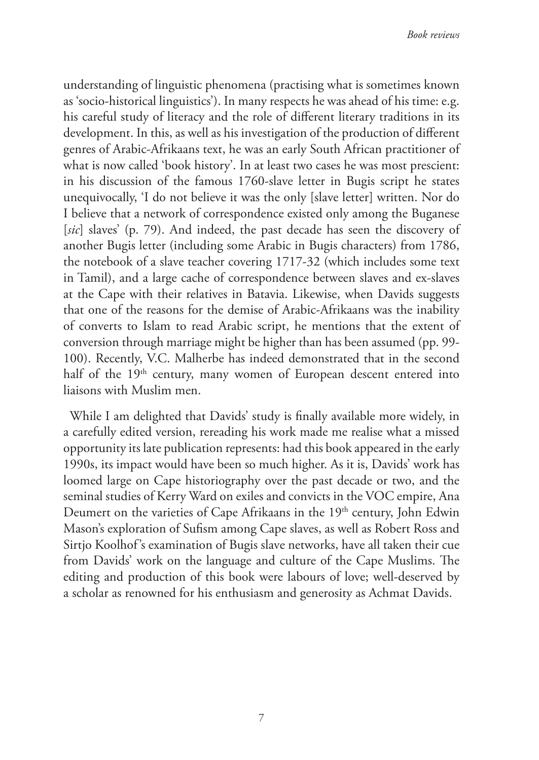understanding of linguistic phenomena (practising what is sometimes known as 'socio-historical linguistics'). In many respects he was ahead of his time: e.g. his careful study of literacy and the role of different literary traditions in its development. In this, as well as his investigation of the production of different genres of Arabic-Afrikaans text, he was an early South African practitioner of what is now called 'book history'. In at least two cases he was most prescient: in his discussion of the famous 1760-slave letter in Bugis script he states unequivocally, 'I do not believe it was the only [slave letter] written. Nor do I believe that a network of correspondence existed only among the Buganese [*sic*] slaves' (p. 79). And indeed, the past decade has seen the discovery of another Bugis letter (including some Arabic in Bugis characters) from 1786, the notebook of a slave teacher covering 1717-32 (which includes some text in Tamil), and a large cache of correspondence between slaves and ex-slaves at the Cape with their relatives in Batavia. Likewise, when Davids suggests that one of the reasons for the demise of Arabic-Afrikaans was the inability of converts to Islam to read Arabic script, he mentions that the extent of conversion through marriage might be higher than has been assumed (pp. 99- 100). Recently, V.C. Malherbe has indeed demonstrated that in the second half of the 19<sup>th</sup> century, many women of European descent entered into liaisons with Muslim men.

While I am delighted that Davids' study is finally available more widely, in a carefully edited version, rereading his work made me realise what a missed opportunity its late publication represents: had this book appeared in the early 1990s, its impact would have been so much higher. As it is, Davids' work has loomed large on Cape historiography over the past decade or two, and the seminal studies of Kerry Ward on exiles and convicts in the VOC empire, Ana Deumert on the varieties of Cape Afrikaans in the 19<sup>th</sup> century, John Edwin Mason's exploration of Sufism among Cape slaves, as well as Robert Ross and Sirtjo Koolhof's examination of Bugis slave networks, have all taken their cue from Davids' work on the language and culture of the Cape Muslims. The editing and production of this book were labours of love; well-deserved by a scholar as renowned for his enthusiasm and generosity as Achmat Davids.